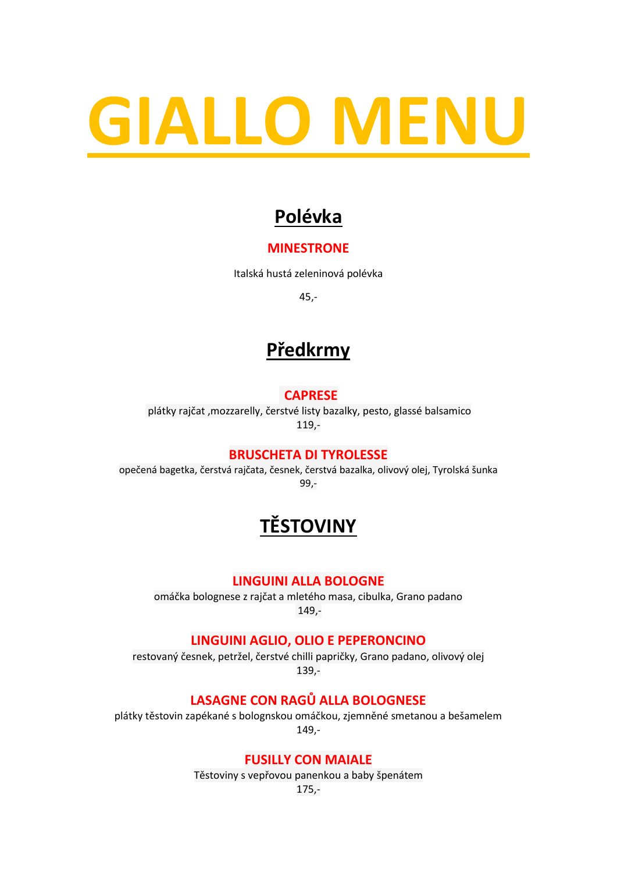# **GIALLO MENU**

# **Polévka**

#### **MINESTRONE**

Italská hustá zeleninová polévka

45,-

# **Předkrmy**

#### **CAPRESE**

plátky rajčat ,mozzarelly, čerstvé listy bazalky, pesto, glassé balsamico 119,-

#### **BRUSCHETA DI TYROLESSE**

opečená bagetka, čerstvá rajčata, česnek, čerstvá bazalka, olivový olej, Tyrolská šunka 99,-

# **TĚSTOVINY**

#### **LINGUINI ALLA BOLOGNE**

omáčka bolognese z rajčat a mletého masa, cibulka, Grano padano 149,-

#### **LINGUINI AGLIO, OLIO E PEPERONCINO**

restovaný česnek, petržel, čerstvé chilli papričky, Grano padano, olivový olej 139,-

#### **LASAGNE CON RAGŮ ALLA BOLOGNESE**

plátky těstovin zapékané s bolognskou omáčkou, zjemněné smetanou a bešamelem 149,-

#### **FUSILLY CON MAIALE**

Těstoviny s vepřovou panenkou a baby špenátem

175,-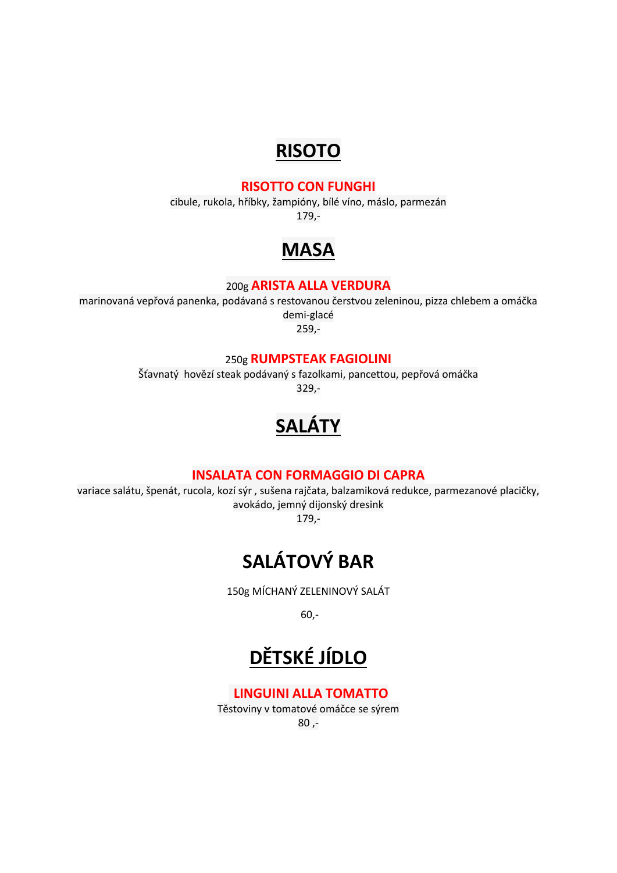## **RISOTO**

#### **RISOTTO CON FUNGHI**

cibule, rukola, hříbky, žampióny, bílé víno, máslo, parmezán 179,-

## **MASA**

#### 200g **ARISTA ALLA VERDURA**

marinovaná vepřová panenka, podávaná s restovanou čerstvou zeleninou, pizza chlebem a omáčka demi-glacé 259,-

250g **RUMPSTEAK FAGIOLINI**

Šťavnatý hovězí steak podávaný s fazolkami, pancettou, pepřová omáčka 329,-

# **SALÁTY**

#### **INSALATA CON FORMAGGIO DI CAPRA**

variace salátu, špenát, rucola, kozí sýr , sušena rajčata, balzamiková redukce, parmezanové placičky, avokádo, jemný dijonský dresink

179,-

# **SALÁTOVÝ BAR**

150g MÍCHANÝ ZELENINOVÝ SALÁT

60,-

# **DĚTSKÉ JÍDLO**

#### **LINGUINI ALLA TOMATTO**

Těstoviny v tomatové omáčce se sýrem 80 ,-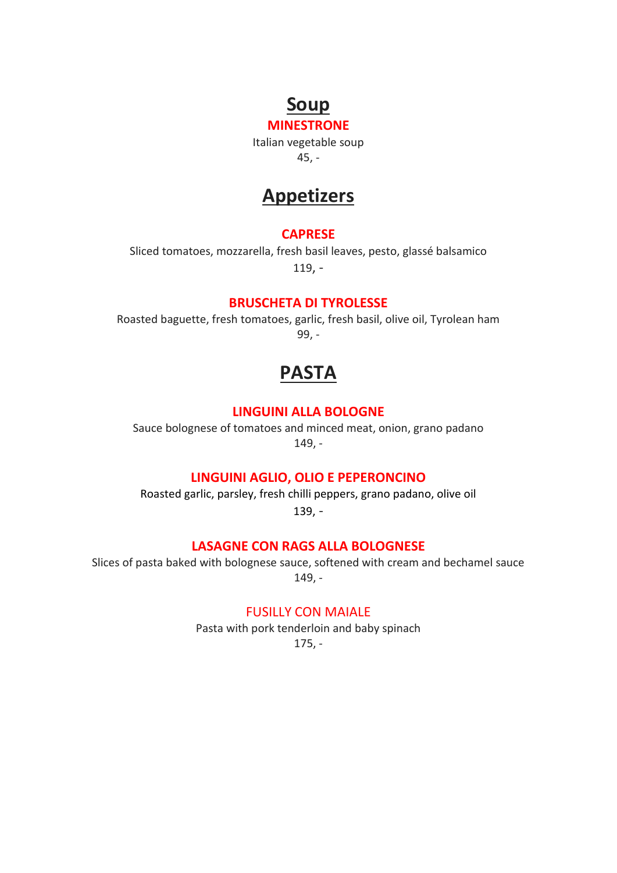## **Soup**

**MINESTRONE** Italian vegetable soup 45, -

## **Appetizers**

#### **CAPRESE**

Sliced tomatoes, mozzarella, fresh basil leaves, pesto, glassé balsamico 119, -

#### **BRUSCHETA DI TYROLESSE**

Roasted baguette, fresh tomatoes, garlic, fresh basil, olive oil, Tyrolean ham 99, -

## **PASTA**

#### **LINGUINI ALLA BOLOGNE**

Sauce bolognese of tomatoes and minced meat, onion, grano padano 149, -

#### **LINGUINI AGLIO, OLIO E PEPERONCINO**

Roasted garlic, parsley, fresh chilli peppers, grano padano, olive oil 139, -

#### **LASAGNE CON RAGS ALLA BOLOGNESE**

Slices of pasta baked with bolognese sauce, softened with cream and bechamel sauce 149, -

#### FUSILLY CON MAIALE

Pasta with pork tenderloin and baby spinach

175, -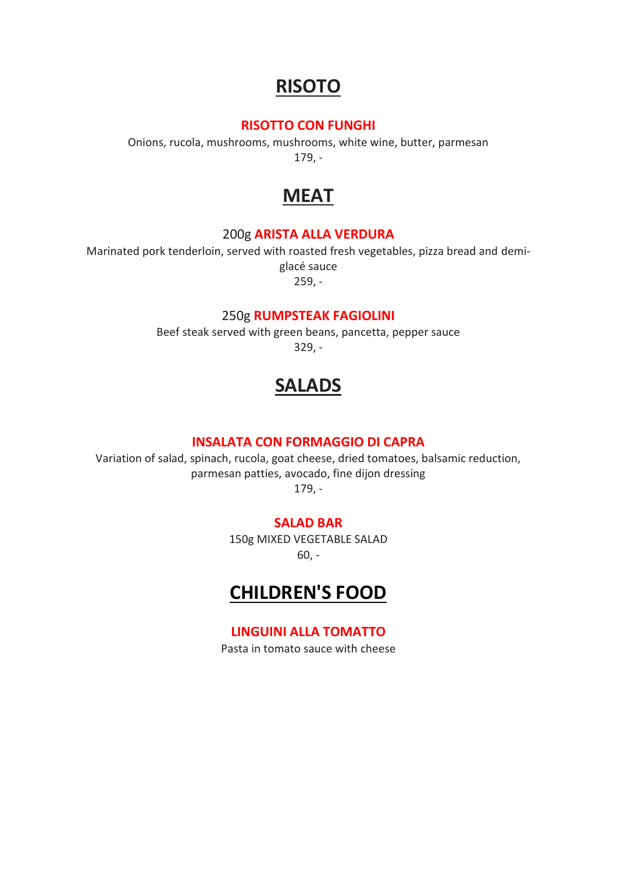## **RISOTO**

#### **RISOTTO CON FUNGHI**

Onions, rucola, mushrooms, mushrooms, white wine, butter, parmesan 179, -

## **MEAT**

#### 200g **ARISTA ALLA VERDURA**

Marinated pork tenderloin, served with roasted fresh vegetables, pizza bread and demiglacé sauce

259, -

#### 250g **RUMPSTEAK FAGIOLINI**

Beef steak served with green beans, pancetta, pepper sauce 329, -

## **SALADS**

#### **INSALATA CON FORMAGGIO DI CAPRA**

Variation of salad, spinach, rucola, goat cheese, dried tomatoes, balsamic reduction, parmesan patties, avocado, fine dijon dressing 179, -

#### **SALAD BAR**

150g MIXED VEGETABLE SALAD 60, -

### **CHILDREN'S FOOD**

#### **LINGUINI ALLA TOMATTO**

Pasta in tomato sauce with cheese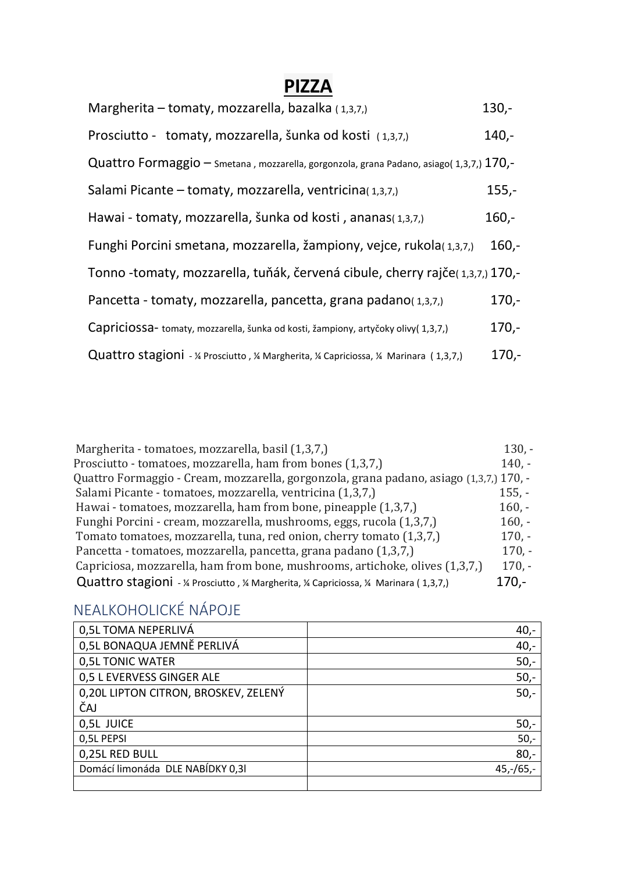## **PIZZA**

| Margherita – tomaty, mozzarella, bazalka (1,3,7,)                                         | $130 -$ |
|-------------------------------------------------------------------------------------------|---------|
| Prosciutto - tomaty, mozzarella, šunka od kosti (1,3,7,)                                  | $140,-$ |
| Quattro Formaggio – Smetana, mozzarella, gorgonzola, grana Padano, asiago(1,3,7,) 170,-   |         |
| Salami Picante – tomaty, mozzarella, ventricina(1,3,7,)                                   | $155,-$ |
| Hawai - tomaty, mozzarella, šunka od kosti, ananas(1,3,7,)                                | $160,-$ |
| Funghi Porcini smetana, mozzarella, žampiony, vejce, rukola(1,3,7,)                       | $160 -$ |
| Tonno -tomaty, mozzarella, tuňák, červená cibule, cherry rajče(1,3,7,) 170,-              |         |
| Pancetta - tomaty, mozzarella, pancetta, grana padano(1,3,7,)                             | $170 -$ |
| Capriciossa- tomaty, mozzarella, šunka od kosti, žampiony, artyčoky olivy(1,3,7,)         | $170 -$ |
| Quattro stagioni - 1/4 Prosciutto, 1/4 Margherita, 1/4 Capriciossa, 1/4 Marinara (1,3,7,) | $170 -$ |

| Margherita - tomatoes, mozzarella, basil (1,3,7,)                                         | $130, -$ |
|-------------------------------------------------------------------------------------------|----------|
| Prosciutto - tomatoes, mozzarella, ham from bones (1,3,7,)                                | $140. -$ |
| Quattro Formaggio - Cream, mozzarella, gorgonzola, grana padano, asiago (1,3,7,) 170, -   |          |
| Salami Picante - tomatoes, mozzarella, ventricina (1,3,7,)                                | $155, -$ |
| Hawai - tomatoes, mozzarella, ham from bone, pineapple (1,3,7,)                           | $160,-$  |
| Funghi Porcini - cream, mozzarella, mushrooms, eggs, rucola (1,3,7,)                      | $160, -$ |
| Tomato tomatoes, mozzarella, tuna, red onion, cherry tomato (1,3,7,)                      | $170,-$  |
| Pancetta - tomatoes, mozzarella, pancetta, grana padano (1,3,7,)                          | $170, -$ |
| Capriciosa, mozzarella, ham from bone, mushrooms, artichoke, olives (1,3,7,)              | $170, -$ |
| Quattro stagioni - 1/4 Prosciutto, 1/4 Margherita, 1/4 Capriciossa, 1/4 Marinara (1,3,7,) | $170 -$  |

# NEALKOHOLICKÉ NÁPOJE

| 0,5L TOMA NEPERLIVÁ                  | $40,-$      |
|--------------------------------------|-------------|
| 0,5L BONAQUA JEMNĚ PERLIVÁ           | $40,-$      |
| 0,5L TONIC WATER                     | $50,-$      |
| 0,5 L EVERVESS GINGER ALE            | $50,-$      |
| 0,20L LIPTON CITRON, BROSKEV, ZELENÝ | $50,-$      |
| ČAJ                                  |             |
| 0,5L JUICE                           | $50,-$      |
| 0,5L PEPSI                           | $50,-$      |
| 0,25L RED BULL                       | $80,-$      |
| Domácí limonáda DLE NABÍDKY 0,31     | $45,-/65,-$ |
|                                      |             |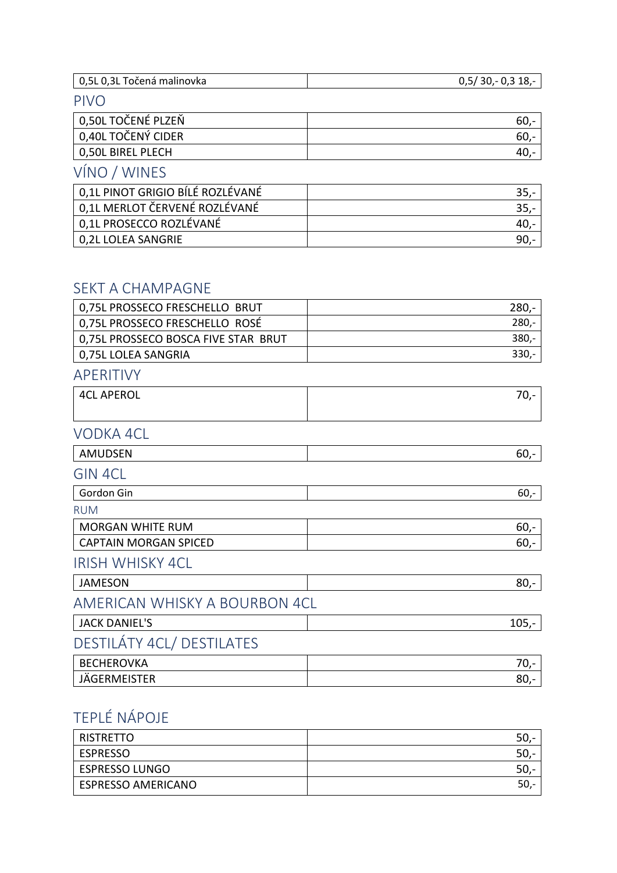| 0,5L 0,3L Točená malinovka       | $0,5/30,-0,318,-$ |
|----------------------------------|-------------------|
| <b>PIVO</b>                      |                   |
| 0,50L TOČENÉ PLZEŇ               | $60 -$            |
| 0,40L TOČENÝ CIDER               | $60 -$            |
| 0,50L BIREL PLECH                | $40,-$            |
| VÍNO / WINES                     |                   |
| 0,1L PINOT GRIGIO BÍLÉ ROZLÉVANÉ | $35 -$            |
| 0.11 MERLOT ČERVENÉ ROZLÉVANÉ    | $25 -$            |

| 0,1L MERLOT ČERVENÉ ROZLÉVANÉ |  |
|-------------------------------|--|
| 0,1L PROSECCO ROZLÉVANÉ       |  |
| 0,2L LOLEA SANGRIE            |  |
|                               |  |

#### SEKT A CHAMPAGNE

| 0,75L PROSSECO FRESCHELLO BRUT      | $280 -$ |
|-------------------------------------|---------|
| 0,75L PROSSECO FRESCHELLO ROSÉ      | $280 -$ |
| 0,75L PROSSECO BOSCA FIVE STAR BRUT | $380 -$ |
| 0,75L LOLEA SANGRIA                 | $330,-$ |
| APERITIVY                           |         |
| <b>4CL APEROL</b>                   | $70,-$  |
|                                     |         |
| VODKA 4CL                           |         |
| <b>AMUDSEN</b>                      | $60,-$  |
| <b>GIN 4CL</b>                      |         |
| Gordon Gin                          | $60 -$  |
| <b>RUM</b>                          |         |
| <b>MORGAN WHITE RUM</b>             | $60 -$  |
| <b>CAPTAIN MORGAN SPICED</b>        | $60 -$  |
| <b>IRISH WHISKY 4CL</b>             |         |
| <b>JAMESON</b>                      | $80 -$  |
| AMERICAN WHISKY A BOURBON 4CL       |         |
| <b>JACK DANIEL'S</b>                | $105,-$ |
| DESTILÁTY 4CL/DESTILATES            |         |
| <b>BECHEROVKA</b>                   | $70,-$  |
| JÄGERMEISTER                        | $80 -$  |

# TEPLÉ NÁPOJE

| <b>RISTRETTO</b>          | 50,      |
|---------------------------|----------|
| <b>ESPRESSO</b>           | 50,<br>- |
| <b>ESPRESSO LUNGO</b>     | 50,      |
| <b>ESPRESSO AMERICANO</b> | 50,      |